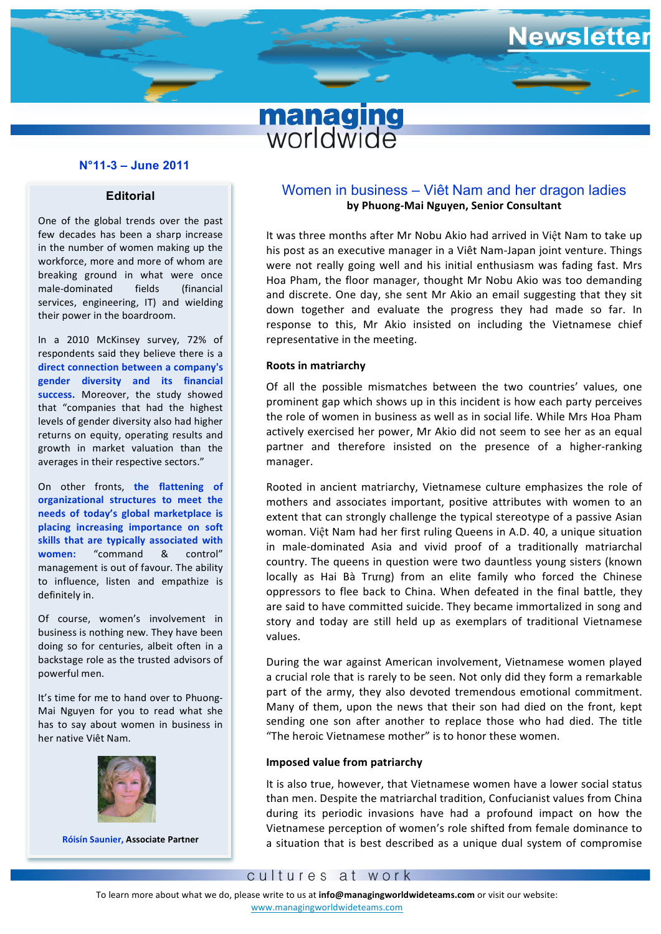# **managing**<br>worldwide

### **N°11-3 – June 2011**

#### **Editorial**

One of the global trends over the past few decades has been a sharp increase in the number of women making up the workforce, more and more of whom are breaking ground in what were once male-dominated fields (financial services, engineering, IT) and wielding their power in the boardroom.

In a 2010 McKinsey survey, 72% of respondents said they believe there is a direct connection between a company's **gender diversity and its financial**  success. Moreover, the study showed that "companies that had the highest levels of gender diversity also had higher returns on equity, operating results and growth in market valuation than the averages in their respective sectors."

On other fronts, the flattening of **organizational structures to meet the needs** of **today's** global marketplace is **placing increasing importance on soft** skills that are typically associated with **women:** "command & control" management is out of favour. The ability to influence, listen and empathize is definitely in.

Of course, women's involvement in business is nothing new. They have been doing so for centuries, albeit often in a backstage role as the trusted advisors of powerful men.

It's time for me to hand over to Phuong-Mai Nguyen for you to read what she has to say about women in business in her native Viêt Nam.



**Róisín Saunier, Associate Partner**

## Women in business – Viêt Nam and her dragon ladies **by Phuong-Mai Nguyen, Senior Consultant**

lewsletter

It was three months after Mr Nobu Akio had arrived in Việt Nam to take up his post as an executive manager in a Viêt Nam-Japan joint venture. Things were not really going well and his initial enthusiasm was fading fast. Mrs Hoa Pham, the floor manager, thought Mr Nobu Akio was too demanding and discrete. One day, she sent Mr Akio an email suggesting that they sit down together and evaluate the progress they had made so far. In response to this, Mr Akio insisted on including the Vietnamese chief representative in the meeting.

#### **Roots in matriarchy**

Of all the possible mismatches between the two countries' values, one prominent gap which shows up in this incident is how each party perceives the role of women in business as well as in social life. While Mrs Hoa Pham actively exercised her power, Mr Akio did not seem to see her as an equal partner and therefore insisted on the presence of a higher-ranking manager.

Rooted in ancient matriarchy, Vietnamese culture emphasizes the role of mothers and associates important, positive attributes with women to an extent that can strongly challenge the typical stereotype of a passive Asian woman. Việt Nam had her first ruling Queens in A.D. 40, a unique situation in male-dominated Asia and vivid proof of a traditionally matriarchal country. The queens in question were two dauntless young sisters (known locally as Hai Bà Trưng) from an elite family who forced the Chinese oppressors to flee back to China. When defeated in the final battle, they are said to have committed suicide. They became immortalized in song and story and today are still held up as exemplars of traditional Vietnamese values. 

During the war against American involvement, Vietnamese women played a crucial role that is rarely to be seen. Not only did they form a remarkable part of the army, they also devoted tremendous emotional commitment. Many of them, upon the news that their son had died on the front, kept sending one son after another to replace those who had died. The title "The heroic Vietnamese mother" is to honor these women.

#### **Imposed value from patriarchy**

It is also true, however, that Vietnamese women have a lower social status than men. Despite the matriarchal tradition, Confucianist values from China during its periodic invasions have had a profound impact on how the Vietnamese perception of women's role shifted from female dominance to a situation that is best described as a unique dual system of compromise

To learn more about what we do, please write to us at info@managingworldwideteams.com or visit our website:

www.managingworldwideteams.com